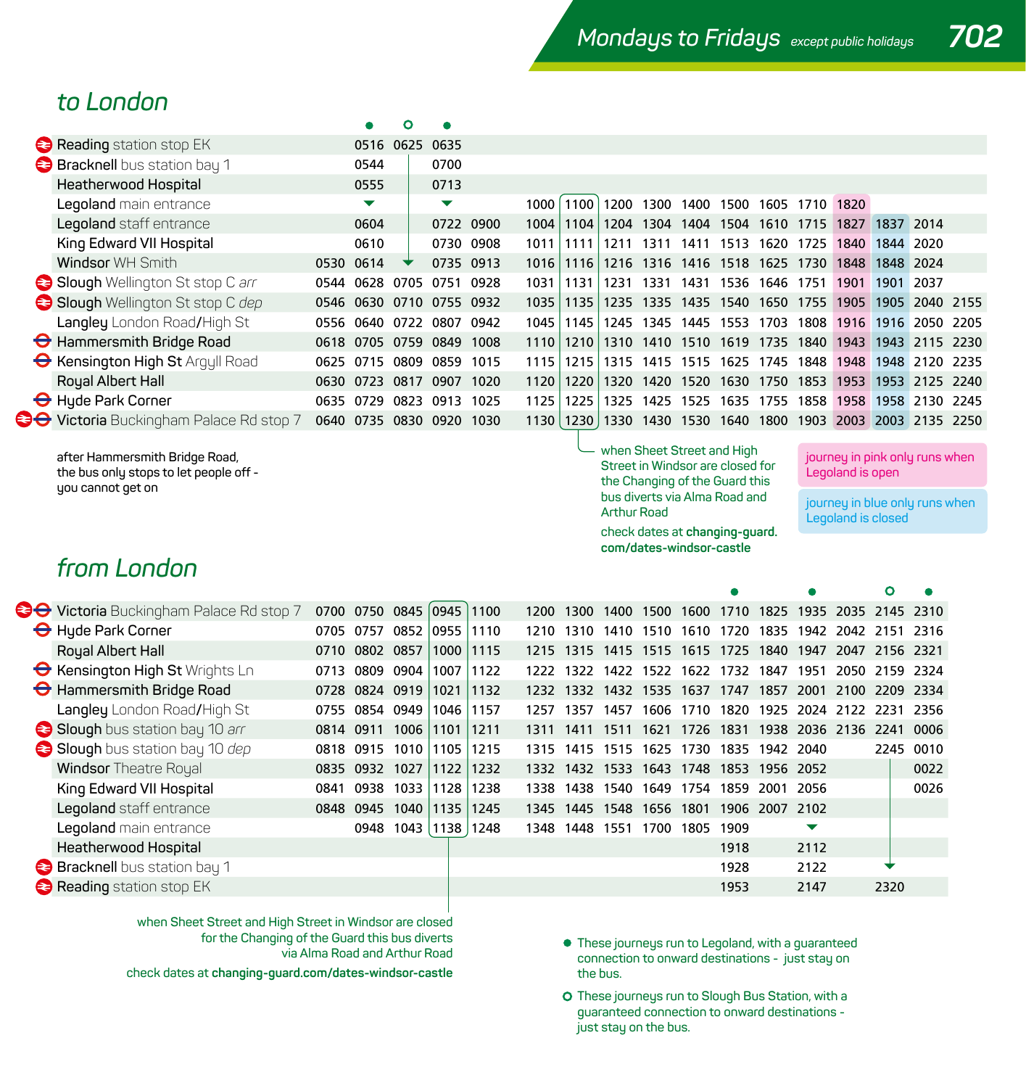### *to London*

| Reading station stop EK                        |      |                          | 0516 0625 0635 |           |           |                   |             |      |      |                          |      |      |           |      |           |                |      |
|------------------------------------------------|------|--------------------------|----------------|-----------|-----------|-------------------|-------------|------|------|--------------------------|------|------|-----------|------|-----------|----------------|------|
| <b>Bracknell</b> bus station bay 1             |      | 0544                     |                | 0700      |           |                   |             |      |      |                          |      |      |           |      |           |                |      |
| <b>Heatherwood Hospital</b>                    |      | 0555                     |                | 0713      |           |                   |             |      |      |                          |      |      |           |      |           |                |      |
| Legoland main entrance                         |      | ▼                        |                | ▼         |           | 1000 <sub>1</sub> | 1100        | 1200 | 1300 | 1400                     | 1500 | 1605 | 1710 1820 |      |           |                |      |
| Legoland staff entrance                        |      | 0604                     |                |           | 0722 0900 | 1004              | 1104        | 1204 | 1304 | 1404                     | 1504 | 1610 | 1715      | 1827 | 1837 2014 |                |      |
| King Edward VII Hospital                       |      | 0610                     |                | 0730 0908 |           | 1011 1111         |             | 1211 | 1311 | 1411                     | 1513 | 1620 | 1725      | 1840 | 1844 2020 |                |      |
| <b>Windsor WH Smith</b>                        |      | 0530 0614                | ▼              | 0735 0913 |           | 1016              | 1116        |      |      | 1216 1316 1416 1518 1625 |      |      | 1730      | 1848 | 1848 2024 |                |      |
| Slough Wellington St stop C arr                | 0544 | 0628                     | 0705           | 0751      | 0928      | 1031              | 1131        | 1231 | 1331 | 1431                     | 1536 | 1646 | 1751      | 1901 | 1901      | 2037           |      |
| Slough Wellington St stop C dep                |      | 0546 0630 0710 0755 0932 |                |           |           | 1035              | 1135        |      |      | 1235 1335 1435 1540 1650 |      |      | 1755      | 1905 |           | 1905 2040 2155 |      |
| Langley London Road/High St                    | 0556 | 0640                     | 0722           | 0807      | 0942      | 1045              | 1145        | 1245 | 1345 | 1445                     | 1553 | 1703 | 1808      | 1916 | 1916      | 2050           | 2205 |
| Hammersmith Bridge Road                        |      | 0618 0705 0759 0849      |                |           | 1008      | 1110              | 1210        | 1310 |      | 1410 1510 1619           |      | 1735 | 1840      | 1943 | 1943      | 2115 2230      |      |
| <b>G</b> Kensington High St Arquil Road        |      | 0625 0715 0809 0859      |                |           | 1015      | 1115              | 1215        | 1315 |      | 1415 1515 1625           |      | 1745 | 1848      | 1948 | 1948      | 2120           | 2235 |
| Royal Albert Hall                              | 0630 | 0723                     | 0817           | 0907      | 1020      | 1120              | 1220        | 1320 | 1420 | 1520                     | 1630 | 1750 | 1853      | 1953 | 1953      | 2125 2240      |      |
| Hyde Park Corner                               |      | 0635 0729                | 0823           | 0913      | 1025      | 1125              | 1225        | 1325 | 1425 | 1525                     | 1635 | 1755 | 1858      | 1958 | 1958      | 2130           | 2245 |
| <b>OO</b> Victoria Buckingham Palace Rd stop 7 | 0640 | 0735                     |                | 0830 0920 | 1030      |                   | 1130   1230 |      |      | 1330 1430 1530 1640      |      | 1800 | 1903      | 2003 |           | 2003 2135 2250 |      |
|                                                |      |                          |                |           |           |                   |             |      |      |                          |      |      |           |      |           |                |      |

**after Hammersmith Bridge Road, the bus only stops to let people off you cannot get on**

**when Sheet Street and High Street in Windsor are closed for the Changing of the Guard this bus diverts via Alma Road and Arthur Road**

**check dates at changing-guard. com/dates-windsor-castle**

ō

**journey in pink only runs when Legoland is open**

**journey in blue only runs when Legoland is closed**

 $\bullet$ 

## *from London*

| <b>CO</b> Victoria Buckingham Palace Rd stop 7 | 0700      | 0750      | 0845 | 0945 | 1100 | 1200 | 1300 | 1400 | 1500           | 1600                     | 1710      | 1825           | 1935 | 2035 2145 2310 |           |       |
|------------------------------------------------|-----------|-----------|------|------|------|------|------|------|----------------|--------------------------|-----------|----------------|------|----------------|-----------|-------|
| Hyde Park Corner                               | 0705      | 0757      | 0852 | 0955 | 1110 | 1210 | 1310 | 1410 | 1510           | 1610                     | 1720      | 1835           | 1942 | 2042 2151      |           | 2316  |
| Royal Albert Hall                              | 0710      | 0802      | 0857 | 1000 | 1115 | 1215 | 1315 |      |                | 1415 1515 1615 1725 1840 |           |                | 1947 | 2047           | -2156     | -2321 |
| <b>O</b> Kensington High St Wrights Ln         | 0713      | 0809      | 0904 | 1007 | 1122 | 1222 | 1322 |      | 1422 1522      |                          | 1622 1732 | 1847           | 1951 |                | 2050 2159 | 2324  |
| Hammersmith Bridge Road                        | 0728      | 0824      | 0919 | 1021 | 1132 | 1232 | 1332 | 1432 | 1535 1637      |                          | 1747      | 1857           | 2001 | 2100           | 2209      | 2334  |
| Langley London Road/High St                    | 0755      | 0854      | 0949 | 1046 | 1157 | 1257 | 1357 | 1457 |                | 1606 1710                | 1820      |                |      | 1925 2024 2122 | 2231      | 2356  |
| Slough bus station bay 10 arr                  | 0814 0911 |           | 1006 | 1101 | 1211 | 1311 | 1411 | 1511 | 1621           | 1726                     | 1831      | 1938           | 2036 | 2136           | 2241      | 0006  |
| Slough bus station bay 10 dep                  | 0818      | 0915      | 1010 | 1105 | 1215 | 1315 | 1415 |      | 1515 1625 1730 |                          |           | 1835 1942 2040 |      |                | 2245      | 0010  |
| <b>Windsor Theatre Royal</b>                   | 0835      | 0932      | 1027 | 1122 | 1232 | 1332 | 1432 | 1533 | 1643           | 1748                     | 1853      | 1956 2052      |      |                |           | 0022  |
| King Edward VII Hospital                       | 0841      | 0938      | 1033 | 1128 | 1238 | 1338 | 1438 | 1540 | 1649           | 1754                     | 1859      | 2001           | 2056 |                |           | 0026  |
| Legoland staff entrance                        |           | 0848 0945 | 1040 | 1135 | 1245 | 1345 | 1445 | 1548 | 1656 1801      |                          |           | 1906 2007 2102 |      |                |           |       |
| Legoland main entrance                         |           | 0948      | 1043 | 1138 | 1248 | 1348 | 1448 | 1551 | 1700           | 1805                     | 1909      |                | ▼    |                |           |       |
| <b>Heatherwood Hospital</b>                    |           |           |      |      |      |      |      |      |                |                          | 1918      |                | 2112 |                |           |       |
| <b>Bracknell</b> bus station bay 1             |           |           |      |      |      |      |      |      |                |                          | 1928      |                | 2122 |                |           |       |
| Reading station stop EK                        |           |           |      |      |      |      |      |      |                |                          | 1953      |                | 2147 |                | 2320      |       |
|                                                |           |           |      |      |      |      |      |      |                |                          |           |                |      |                |           |       |

**when Sheet Street and High Street in Windsor are closed for the Changing of the Guard this bus diverts via Alma Road and Arthur Road**

**check dates at changing-guard.com/dates-windsor-castle**

- **These journeys run to Legoland, with a guaranteed connection to onward destinations - just stay on the bus.**
- **O** These journeus run to Slough Bus Station, with a **guaranteed connection to onward destinations just stay on the bus.**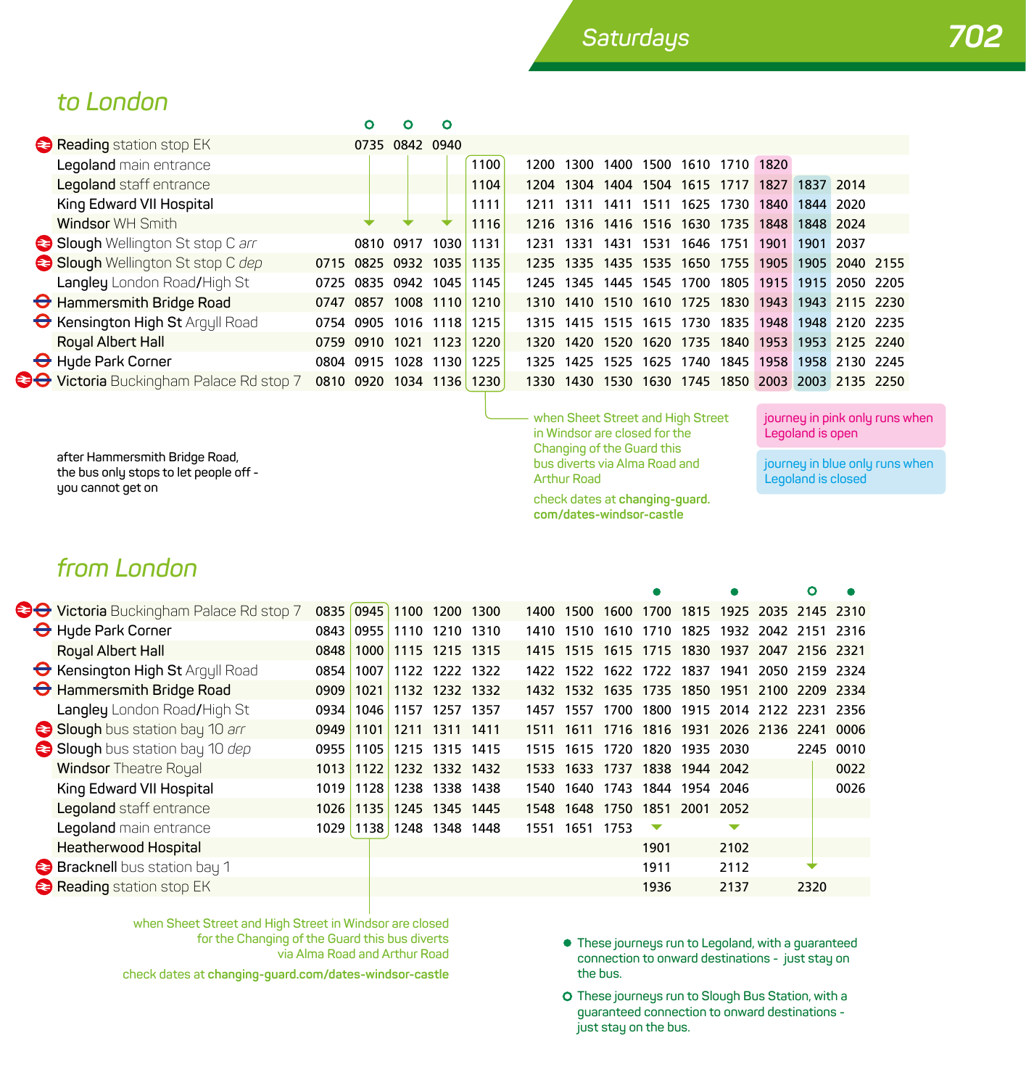### *to London*

|                                               |      | Ω                   | n              |      |      |      |           |                               |                     |           |                     |                |                |                                                   |  |
|-----------------------------------------------|------|---------------------|----------------|------|------|------|-----------|-------------------------------|---------------------|-----------|---------------------|----------------|----------------|---------------------------------------------------|--|
| Reading station stop EK                       |      |                     | 0735 0842 0940 |      |      |      |           |                               |                     |           |                     |                |                |                                                   |  |
| Legoland main entrance                        |      |                     |                |      | 1100 | 1200 | 1300      | 1400                          | 1500                |           | 1610 1710           | 1820           |                |                                                   |  |
| Legoland staff entrance                       |      |                     |                |      | 1104 | 1204 | 1304      |                               | 1404 1504 1615 1717 |           |                     | 1827           | 1837 2014      |                                                   |  |
| King Edward VII Hospital                      |      |                     |                |      | 1111 | 1211 | 1311      | 1411                          | 1511                | 1625      | 1730                | 1840 1844      |                | 2020                                              |  |
| Windsor WH Smith                              |      |                     |                |      | 1116 |      | 1216 1316 |                               |                     |           | 1416 1516 1630 1735 |                | 1848 1848 2024 |                                                   |  |
| Slough Wellington St stop C arr               |      | 0810 0917           |                | 1030 | 1131 | 1231 | 1331      | 1431                          | 1531                | 1646 1751 |                     |                | 1901 1901      | 2037                                              |  |
| Slough Wellington St stop C dep               |      | 0715 0825 0932 1035 |                |      | 1135 |      |           | 1235 1335 1435 1535 1650 1755 |                     |           |                     | 1905 1905      |                | 2040 2155                                         |  |
| Langley London Road/High St                   | 0725 | 0835 0942           |                | 1045 | 1145 | 1245 | 1345      | 1445                          | 1545                | 1700      | 1805                |                | 1915 1915      | 2050 2205                                         |  |
| Hammersmith Bridge Road                       | 0747 | 0857 1008 1110      |                |      | 1210 |      |           |                               |                     |           |                     |                |                | 1310 1410 1510 1610 1725 1830 1943 1943 2115 2230 |  |
| <b>O</b> Kensington High St Argyll Road       |      | 0754 0905           | 1016           | 1118 | 1215 | 1315 | 1415      | 1515                          |                     | 1615 1730 |                     | 1835 1948 1948 |                | 2120 2235                                         |  |
| Royal Albert Hall                             |      | 0759 0910           | 1021           | 1123 | 1220 | 1320 | 1420      | 1520                          | 1620                | 1735      | 1840                | 1953 1953      |                | 2125 2240                                         |  |
| Hyde Park Corner                              |      | 0804 0915           | 1028           | 1130 | 1225 | 1325 | 1425      | 1525                          | 1625                | 1740      |                     |                |                | 1845 1958 1958 2130 2245                          |  |
| <b>O</b> Victoria Buckingham Palace Rd stop 7 |      | 0810 0920           | 1034 1136      |      | 1230 |      | 1330 1430 |                               |                     |           |                     |                |                | 1530 1630 1745 1850 2003 2003 2135 2250           |  |
|                                               |      |                     |                |      |      |      |           |                               |                     |           |                     |                |                |                                                   |  |

**after Hammersmith Bridge Road, the bus only stops to let people off you cannot get on**

**when Sheet Street and High Street in Windsor are closed for the Changing of the Guard this bus diverts via Alma Road and Arthur Road**

**check dates at changing-guard. com/dates-windsor-castle**

**journey in pink only runs when Legoland is open**

**journey in blue only runs when Legoland is closed**

۰

 $\mathbf{o}$ 

# *from London*

|  | <b>CO</b> Victoria Buckingham Palace Rd stop 7 |      | 0835 0945 | 1100                     | 1200 1300      |      | 1400 | 1500           | 1600                                         | 1700 1815 1925 2035 2145 2310      |                |      |                |           |
|--|------------------------------------------------|------|-----------|--------------------------|----------------|------|------|----------------|----------------------------------------------|------------------------------------|----------------|------|----------------|-----------|
|  | Hyde Park Corner                               |      |           | 0843 0955 1110           | 1210           | 1310 | 1410 | 1510           |                                              | 1610 1710 1825 1932 2042 2151 2316 |                |      |                |           |
|  | Royal Albert Hall                              |      |           | 0848 1000 1115 1215 1315 |                |      |      |                | 1415 1515 1615 1715 1830 1937 2047 2156 2321 |                                    |                |      |                |           |
|  | <b>G</b> Kensington High St Argyll Road        | 0854 | 1007      | 1122                     | 1222           | 1322 | 1422 | 1522           |                                              | 1622 1722                          | 1837           | 1941 | 2050 2159 2324 |           |
|  | Hammersmith Bridge Road                        | 0909 | 1021      | 1132 1232 1332           |                |      |      |                | 1432 1532 1635 1735 1850 1951 2100 2209 2334 |                                    |                |      |                |           |
|  | Langley London Road/High St                    |      |           | 0934 1046 1157 1257 1357 |                |      |      | 1457 1557      |                                              | 1700 1800 1915 2014 2122 2231 2356 |                |      |                |           |
|  | Slough bus station bay 10 arr                  | 0949 | 1101      | 1211                     | 1311 1411      |      |      | 1511 1611      |                                              | 1716 1816 1931 2026 2136 2241      |                |      |                | 0006      |
|  | Slough bus station bay 10 dep                  |      |           | 0955 1105 1215 1315 1415 |                |      |      |                | 1515 1615 1720 1820 1935 2030                |                                    |                |      |                | 2245 0010 |
|  | <b>Windsor Theatre Royal</b>                   | 1013 | 1122      | 1232                     | 1332 1432      |      | 1533 | 1633           | 1737                                         |                                    | 1838 1944 2042 |      |                | 0022      |
|  | King Edward VII Hospital                       |      |           | 1019 1128 1238           | 1338           | 1438 | 1540 |                | 1640 1743 1844 1954 2046                     |                                    |                |      |                | 0026      |
|  | Legoland staff entrance                        | 1026 | 1135      |                          | 1245 1345 1445 |      |      | 1548 1648 1750 |                                              |                                    | 1851 2001 2052 |      |                |           |
|  | Legoland main entrance                         |      |           | 1029 1138 1248           | 1348 1448      |      |      | 1551 1651 1753 |                                              | ▽                                  |                | ▼    |                |           |
|  | <b>Heatherwood Hospital</b>                    |      |           |                          |                |      |      |                |                                              | 1901                               |                | 2102 |                |           |
|  | <b>Bracknell</b> bus station bay 1             |      |           |                          |                |      |      |                |                                              | 1911                               |                | 2112 |                |           |
|  | Reading station stop EK                        |      |           |                          |                |      |      |                |                                              | 1936                               |                | 2137 | 2320           |           |
|  |                                                |      |           |                          |                |      |      |                |                                              |                                    |                |      |                |           |

**when Sheet Street and High Street in Windsor are closed for the Changing of the Guard this bus diverts via Alma Road and Arthur Road**

**check dates at changing-guard.com/dates-windsor-castle**

- **These journeys run to Legoland, with a guaranteed connection to onward destinations - just stay on the bus.**
- **O** These journeus run to Slough Bus Station, with a **guaranteed connection to onward destinations just stay on the bus.**